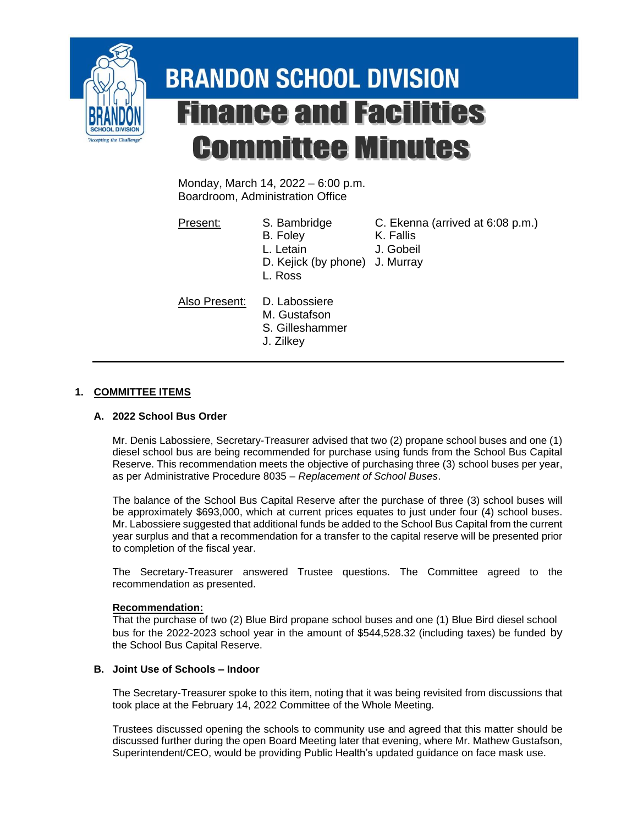

# **BRANDON SCHOOL DIVISION Finance and Facilities Committee Minutes**

Monday, March 14, 2022 – 6:00 p.m. Boardroom, Administration Office

- Present: S. Bambridge C. Ekenna (arrived at 6:08 p.m.)
	- B. Foley K. Fallis
	- L. Letain J. Gobeil
	- D. Kejick (by phone) J. Murray L. Ross

Also Present: D. Labossiere

- M. Gustafson
- S. Gilleshammer
- J. Zilkey

## **1. COMMITTEE ITEMS**

## **A. 2022 School Bus Order**

Mr. Denis Labossiere, Secretary-Treasurer advised that two (2) propane school buses and one (1) diesel school bus are being recommended for purchase using funds from the School Bus Capital Reserve. This recommendation meets the objective of purchasing three (3) school buses per year, as per Administrative Procedure 8035 – *Replacement of School Buses*.

The balance of the School Bus Capital Reserve after the purchase of three (3) school buses will be approximately \$693,000, which at current prices equates to just under four (4) school buses. Mr. Labossiere suggested that additional funds be added to the School Bus Capital from the current year surplus and that a recommendation for a transfer to the capital reserve will be presented prior to completion of the fiscal year.

The Secretary-Treasurer answered Trustee questions. The Committee agreed to the recommendation as presented.

#### **Recommendation:**

That the purchase of two (2) Blue Bird propane school buses and one (1) Blue Bird diesel school bus for the 2022-2023 school year in the amount of \$544,528.32 (including taxes) be funded by the School Bus Capital Reserve.

## **B. Joint Use of Schools – Indoor**

The Secretary-Treasurer spoke to this item, noting that it was being revisited from discussions that took place at the February 14, 2022 Committee of the Whole Meeting.

Trustees discussed opening the schools to community use and agreed that this matter should be discussed further during the open Board Meeting later that evening, where Mr. Mathew Gustafson, Superintendent/CEO, would be providing Public Health's updated guidance on face mask use.